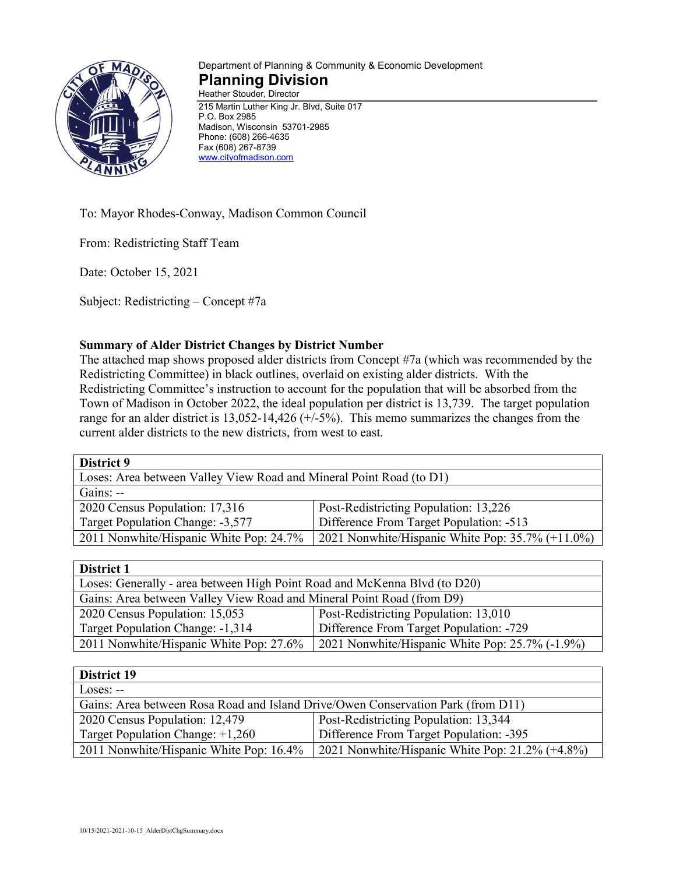

## Department of Planning & Community & Economic Development **Planning Division** Heather Stouder, Director

215 Martin Luther King Jr. Blvd, Suite 017 P.O. Box 2985 Madison, Wisconsin 53701-2985 Phone: (608) 266-4635 Fax (608) 267-8739 [www.cityofmadison.com](http://www.cityofmadison.com/)

To: Mayor Rhodes-Conway, Madison Common Council

From: Redistricting Staff Team

Date: October 15, 2021

Subject: Redistricting – Concept #7a

## **Summary of Alder District Changes by District Number**

The attached map shows proposed alder districts from Concept #7a (which was recommended by the Redistricting Committee) in black outlines, overlaid on existing alder districts. With the Redistricting Committee's instruction to account for the population that will be absorbed from the Town of Madison in October 2022, the ideal population per district is 13,739. The target population range for an alder district is 13,052-14,426 (+/-5%). This memo summarizes the changes from the current alder districts to the new districts, from west to east.

| District 9                                                          |                                                     |  |
|---------------------------------------------------------------------|-----------------------------------------------------|--|
| Loses: Area between Valley View Road and Mineral Point Road (to D1) |                                                     |  |
| Gains: $-$                                                          |                                                     |  |
| 2020 Census Population: 17,316                                      | Post-Redistricting Population: 13,226               |  |
| Target Population Change: -3,577                                    | Difference From Target Population: -513             |  |
| 2011 Nonwhite/Hispanic White Pop: 24.7%                             | 2021 Nonwhite/Hispanic White Pop: $35.7\%$ (+11.0%) |  |

## **District 1**

| LASA IVA 1                                                                |                                                 |  |
|---------------------------------------------------------------------------|-------------------------------------------------|--|
| Loses: Generally - area between High Point Road and McKenna Blvd (to D20) |                                                 |  |
| Gains: Area between Valley View Road and Mineral Point Road (from D9)     |                                                 |  |
| 2020 Census Population: 15,053                                            | Post-Redistricting Population: 13,010           |  |
| Target Population Change: -1,314                                          | Difference From Target Population: -729         |  |
| 2011 Nonwhite/Hispanic White Pop: 27.6%                                   | 2021 Nonwhite/Hispanic White Pop: 25.7% (-1.9%) |  |

| District 19                                                                      |                                                    |  |
|----------------------------------------------------------------------------------|----------------------------------------------------|--|
| $Loss: -$                                                                        |                                                    |  |
| Gains: Area between Rosa Road and Island Drive/Owen Conservation Park (from D11) |                                                    |  |
| 2020 Census Population: 12,479                                                   | Post-Redistricting Population: 13,344              |  |
| Target Population Change: $+1,260$                                               | Difference From Target Population: -395            |  |
| 2011 Nonwhite/Hispanic White Pop: 16.4%                                          | 2021 Nonwhite/Hispanic White Pop: $21.2\%$ (+4.8%) |  |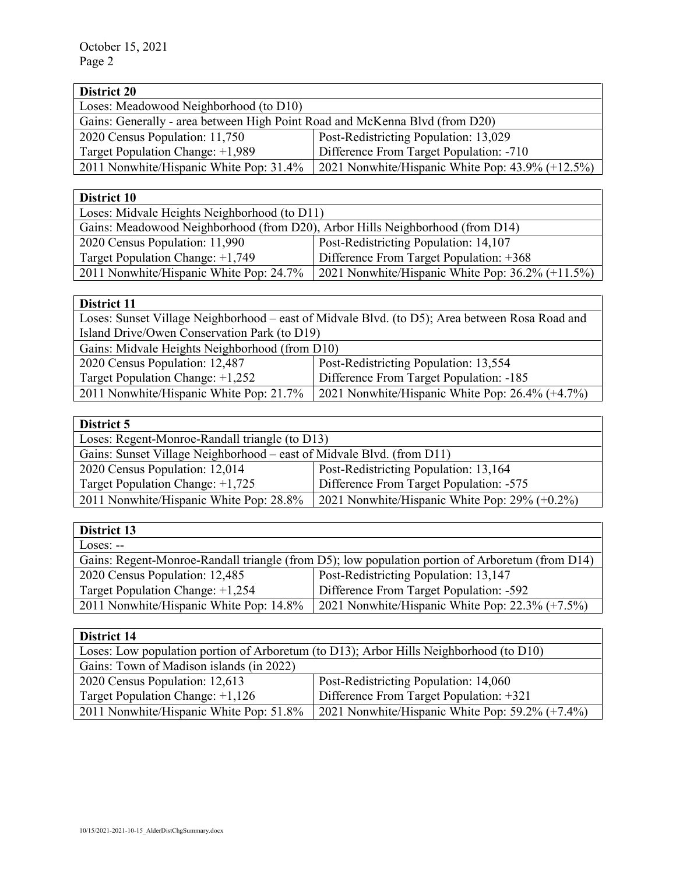| <b>District 20</b>                                                          |                                                     |  |
|-----------------------------------------------------------------------------|-----------------------------------------------------|--|
| Loses: Meadowood Neighborhood (to D10)                                      |                                                     |  |
| Gains: Generally - area between High Point Road and McKenna Blvd (from D20) |                                                     |  |
| 2020 Census Population: 11,750                                              | Post-Redistricting Population: 13,029               |  |
| Target Population Change: +1,989                                            | Difference From Target Population: -710             |  |
| 2011 Nonwhite/Hispanic White Pop: 31.4%                                     | 2021 Nonwhite/Hispanic White Pop: $43.9\%$ (+12.5%) |  |

| District 10                                                                   |                                                     |  |
|-------------------------------------------------------------------------------|-----------------------------------------------------|--|
| Loses: Midvale Heights Neighborhood (to D11)                                  |                                                     |  |
| Gains: Meadowood Neighborhood (from D20), Arbor Hills Neighborhood (from D14) |                                                     |  |
| 2020 Census Population: 11,990                                                | Post-Redistricting Population: 14,107               |  |
| Target Population Change: $+1,749$                                            | Difference From Target Population: +368             |  |
| 2011 Nonwhite/Hispanic White Pop: 24.7%                                       | 2021 Nonwhite/Hispanic White Pop: $36.2\%$ (+11.5%) |  |

| District 11                                                                                    |                                                 |  |
|------------------------------------------------------------------------------------------------|-------------------------------------------------|--|
| Loses: Sunset Village Neighborhood – east of Midvale Blvd. (to D5); Area between Rosa Road and |                                                 |  |
| Island Drive/Owen Conservation Park (to D19)                                                   |                                                 |  |
| Gains: Midvale Heights Neighborhood (from D10)                                                 |                                                 |  |
| 2020 Census Population: 12,487                                                                 | Post-Redistricting Population: 13,554           |  |
| Target Population Change: +1,252                                                               | Difference From Target Population: -185         |  |
| 2011 Nonwhite/Hispanic White Pop: 21.7%                                                        | 2021 Nonwhite/Hispanic White Pop: 26.4% (+4.7%) |  |

| ÷.<br>۰<br>L.<br>œ<br>ı. |  |
|--------------------------|--|

| DISULIVE J                                                            |                                                  |  |
|-----------------------------------------------------------------------|--------------------------------------------------|--|
| Loses: Regent-Monroe-Randall triangle (to D13)                        |                                                  |  |
| Gains: Sunset Village Neighborhood – east of Midvale Blvd. (from D11) |                                                  |  |
| 2020 Census Population: 12,014                                        | Post-Redistricting Population: 13,164            |  |
| Target Population Change: $+1,725$                                    | Difference From Target Population: -575          |  |
| 2011 Nonwhite/Hispanic White Pop: 28.8%                               | 2021 Nonwhite/Hispanic White Pop: $29\%$ (+0.2%) |  |

| District 13                                                                                     |                                                    |  |
|-------------------------------------------------------------------------------------------------|----------------------------------------------------|--|
| $Loss: -$                                                                                       |                                                    |  |
| Gains: Regent-Monroe-Randall triangle (from D5); low population portion of Arboretum (from D14) |                                                    |  |
| 2020 Census Population: 12,485                                                                  | Post-Redistricting Population: 13,147              |  |
| Target Population Change: +1,254                                                                | Difference From Target Population: -592            |  |
| 2011 Nonwhite/Hispanic White Pop: 14.8%                                                         | 2021 Nonwhite/Hispanic White Pop: $22.3\%$ (+7.5%) |  |

| District 14                                                                            |                                                    |  |
|----------------------------------------------------------------------------------------|----------------------------------------------------|--|
| Loses: Low population portion of Arboretum (to D13); Arbor Hills Neighborhood (to D10) |                                                    |  |
| Gains: Town of Madison islands (in 2022)                                               |                                                    |  |
| 2020 Census Population: 12,613                                                         | Post-Redistricting Population: 14,060              |  |
| Target Population Change: +1,126                                                       | Difference From Target Population: +321            |  |
| 2011 Nonwhite/Hispanic White Pop: 51.8%                                                | 2021 Nonwhite/Hispanic White Pop: $59.2\%$ (+7.4%) |  |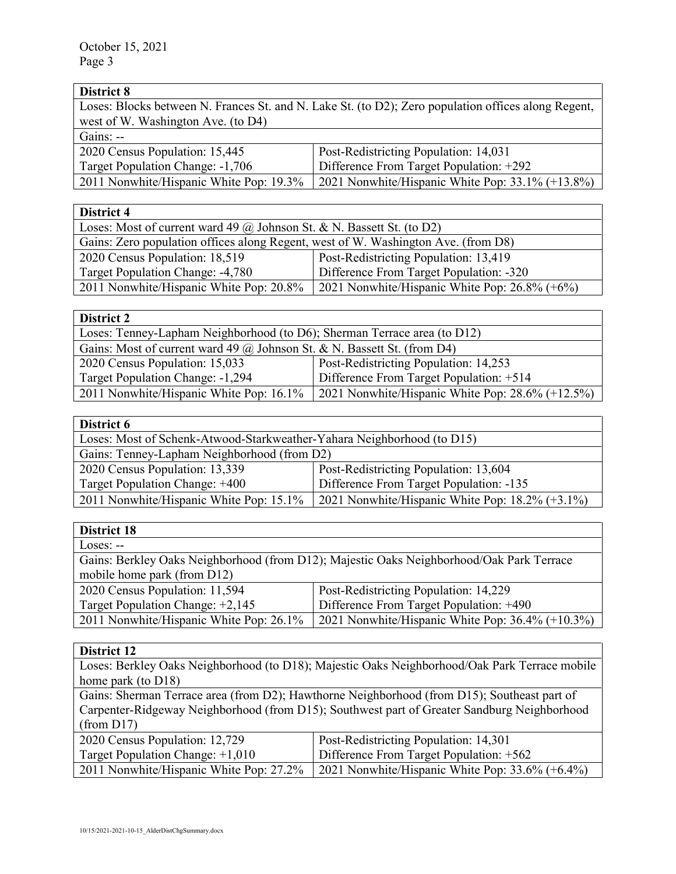| District 8                                                                                          |                                                  |
|-----------------------------------------------------------------------------------------------------|--------------------------------------------------|
| Loses: Blocks between N. Frances St. and N. Lake St. (to D2); Zero population offices along Regent, |                                                  |
| west of W. Washington Ave. (to D4)                                                                  |                                                  |
| Gains: --                                                                                           |                                                  |
| 2020 Census Population: 15,445                                                                      | Post-Redistricting Population: 14,031            |
| Target Population Change: -1,706                                                                    | Difference From Target Population: +292          |
| 2011 Nonwhite/Hispanic White Pop: 19.3%                                                             | 2021 Nonwhite/Hispanic White Pop: 33.1% (+13.8%) |

| District 4                                                                        |                                                  |  |
|-----------------------------------------------------------------------------------|--------------------------------------------------|--|
| Loses: Most of current ward 49 $\omega$ Johnson St. & N. Bassett St. (to D2)      |                                                  |  |
| Gains: Zero population offices along Regent, west of W. Washington Ave. (from D8) |                                                  |  |
| 2020 Census Population: 18,519                                                    | Post-Redistricting Population: 13,419            |  |
| Target Population Change: -4,780                                                  | Difference From Target Population: -320          |  |
| 2011 Nonwhite/Hispanic White Pop: 20.8%                                           | 2021 Nonwhite/Hispanic White Pop: $26.8\%$ (+6%) |  |

| <b>District 2</b>                                                         |                                                     |
|---------------------------------------------------------------------------|-----------------------------------------------------|
| Loses: Tenney-Lapham Neighborhood (to D6); Sherman Terrace area (to D12)  |                                                     |
| Gains: Most of current ward 49 $@$ Johnson St. & N. Bassett St. (from D4) |                                                     |
| 2020 Census Population: 15,033                                            | Post-Redistricting Population: 14,253               |
| Target Population Change: -1,294                                          | Difference From Target Population: +514             |
| 2011 Nonwhite/Hispanic White Pop: 16.1%                                   | 2021 Nonwhite/Hispanic White Pop: $28.6\%$ (+12.5%) |

| District 6                                                             |                                                    |
|------------------------------------------------------------------------|----------------------------------------------------|
| Loses: Most of Schenk-Atwood-Starkweather-Yahara Neighborhood (to D15) |                                                    |
| Gains: Tenney-Lapham Neighborhood (from D2)                            |                                                    |
| 2020 Census Population: 13,339                                         | Post-Redistricting Population: 13,604              |
| Target Population Change: +400                                         | Difference From Target Population: -135            |
| 2011 Nonwhite/Hispanic White Pop: 15.1%                                | 2021 Nonwhite/Hispanic White Pop: $18.2\%$ (+3.1%) |

| <b>District 18</b>                                                                       |                                                     |
|------------------------------------------------------------------------------------------|-----------------------------------------------------|
| $Loss: -$                                                                                |                                                     |
| Gains: Berkley Oaks Neighborhood (from D12); Majestic Oaks Neighborhood/Oak Park Terrace |                                                     |
| mobile home park (from D12)                                                              |                                                     |
| 2020 Census Population: 11,594                                                           | Post-Redistricting Population: 14,229               |
| Target Population Change: +2,145                                                         | Difference From Target Population: +490             |
| 2011 Nonwhite/Hispanic White Pop: 26.1%                                                  | 2021 Nonwhite/Hispanic White Pop: $36.4\%$ (+10.3%) |

| District 12                                                                                   |                                                 |
|-----------------------------------------------------------------------------------------------|-------------------------------------------------|
| Loses: Berkley Oaks Neighborhood (to D18); Majestic Oaks Neighborhood/Oak Park Terrace mobile |                                                 |
| home park (to $D18$ )                                                                         |                                                 |
| Gains: Sherman Terrace area (from D2); Hawthorne Neighborhood (from D15); Southeast part of   |                                                 |
| Carpenter-Ridgeway Neighborhood (from D15); Southwest part of Greater Sandburg Neighborhood   |                                                 |
| (from D17)                                                                                    |                                                 |
| 2020 Census Population: 12,729                                                                | Post-Redistricting Population: 14,301           |
| Target Population Change: $+1,010$                                                            | Difference From Target Population: +562         |
| 2011 Nonwhite/Hispanic White Pop: 27.2%                                                       | 2021 Nonwhite/Hispanic White Pop: 33.6% (+6.4%) |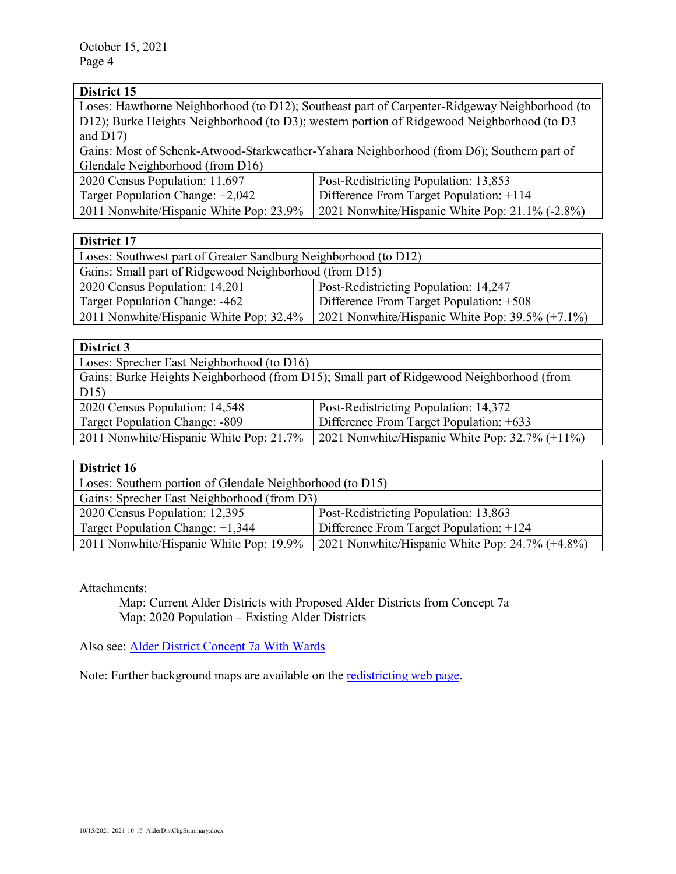| Loses: Hawthorne Neighborhood (to D12); Southeast part of Carpenter-Ridgeway Neighborhood (to |  |
|-----------------------------------------------------------------------------------------------|--|
| D12); Burke Heights Neighborhood (to D3); western portion of Ridgewood Neighborhood (to D3    |  |
| and $D17$ )                                                                                   |  |
| Gains: Most of Schenk-Atwood-Starkweather-Yahara Neighborhood (from D6); Southern part of     |  |
| Glendale Neighborhood (from D16)                                                              |  |
| Post-Redistricting Population: 13,853                                                         |  |
| Difference From Target Population: +114                                                       |  |
| 2021 Nonwhite/Hispanic White Pop: 21.1% (-2.8%)                                               |  |
|                                                                                               |  |

| District 17                                                     |                                                    |
|-----------------------------------------------------------------|----------------------------------------------------|
| Loses: Southwest part of Greater Sandburg Neighborhood (to D12) |                                                    |
| Gains: Small part of Ridgewood Neighborhood (from D15)          |                                                    |
| 2020 Census Population: 14,201                                  | Post-Redistricting Population: 14,247              |
| Target Population Change: -462                                  | Difference From Target Population: +508            |
| 2011 Nonwhite/Hispanic White Pop: 32.4%                         | 2021 Nonwhite/Hispanic White Pop: $39.5\%$ (+7.1%) |

| District 3                                                                               |                                                   |
|------------------------------------------------------------------------------------------|---------------------------------------------------|
| Loses: Sprecher East Neighborhood (to D16)                                               |                                                   |
| Gains: Burke Heights Neighborhood (from D15); Small part of Ridgewood Neighborhood (from |                                                   |
| D15)                                                                                     |                                                   |
| 2020 Census Population: 14,548                                                           | Post-Redistricting Population: 14,372             |
| Target Population Change: -809                                                           | Difference From Target Population: +633           |
| 2011 Nonwhite/Hispanic White Pop: 21.7%                                                  | 2021 Nonwhite/Hispanic White Pop: $32.7\%$ (+11%) |

| District 16                                               |                                                 |
|-----------------------------------------------------------|-------------------------------------------------|
| Loses: Southern portion of Glendale Neighborhood (to D15) |                                                 |
| Gains: Sprecher East Neighborhood (from D3)               |                                                 |
| 2020 Census Population: 12,395                            | Post-Redistricting Population: 13,863           |
| Target Population Change: +1,344                          | Difference From Target Population: +124         |
| 2011 Nonwhite/Hispanic White Pop: 19.9%                   | 2021 Nonwhite/Hispanic White Pop: 24.7% (+4.8%) |

Attachments:

Map: Current Alder Districts with Proposed Alder Districts from Concept 7a Map: 2020 Population – Existing Alder Districts

Also see: [Alder District Concept 7a With Wards](https://madison.legistar.com/View.ashx?M=F&ID=9887216&GUID=C49AB599-FFBE-4F6C-A31C-8BCB4ABD1E57)

Note: Further background maps are available on the **redistricting web page**.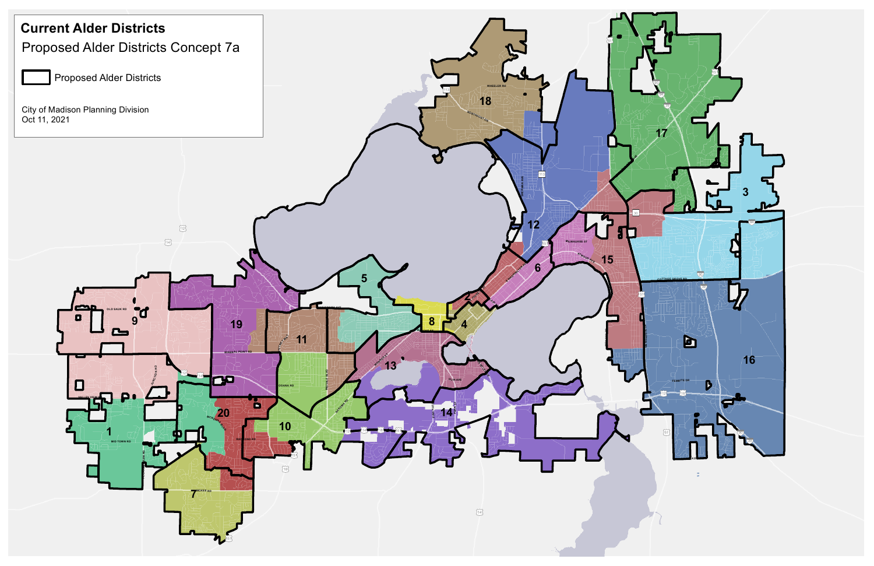